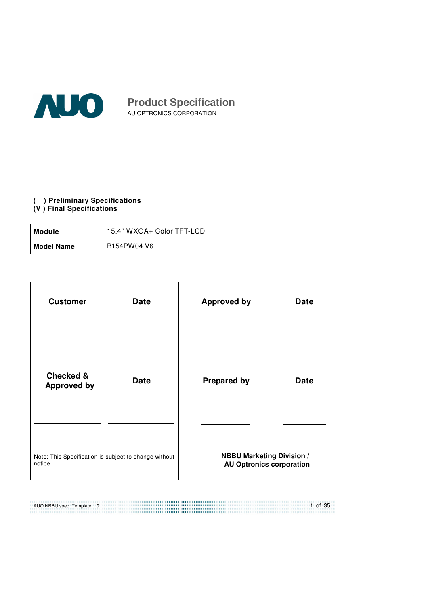

AU OPTRONICS CORPORATION **Product Specification** 

#### **( ) Preliminary Specifications**

#### **(V ) Final Specifications**

| Module            | 15.4" WXGA+ Color TFT-LCD |
|-------------------|---------------------------|
| <b>Model Name</b> | B154PW04 V6               |

| <b>Customer</b>                                                  | <b>Date</b> |  | <b>Approved by</b>                                                  | <b>Date</b> |
|------------------------------------------------------------------|-------------|--|---------------------------------------------------------------------|-------------|
| <b>Checked &amp;</b><br><b>Approved by</b>                       | <b>Date</b> |  | <b>Prepared by</b>                                                  | <b>Date</b> |
|                                                                  |             |  |                                                                     |             |
| Note: This Specification is subject to change without<br>notice. |             |  | <b>NBBU Marketing Division /</b><br><b>AU Optronics corporation</b> |             |

1 of 35 AUO NBBU spec. Template 1.0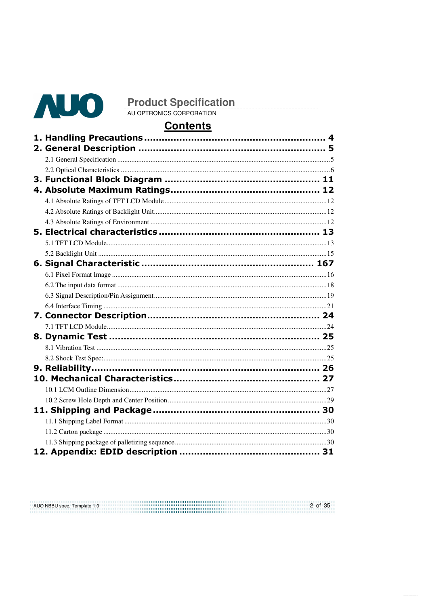

AUO NBBU spec. Template 1.0

**Product Specification** 

# **Contents**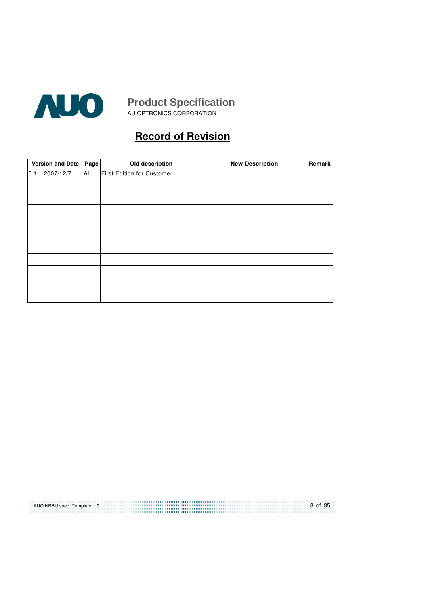

AU OPTRONICS CORPORATION

# **Record of Revision**

|     | <b>Version and Date</b> | Old description<br>Page |                            | <b>New Description</b> | Remark |
|-----|-------------------------|-------------------------|----------------------------|------------------------|--------|
| 0.1 | 2007/12/7               | All                     | First Edition for Customer |                        |        |
|     |                         |                         |                            |                        |        |
|     |                         |                         |                            |                        |        |
|     |                         |                         |                            |                        |        |
|     |                         |                         |                            |                        |        |
|     |                         |                         |                            |                        |        |
|     |                         |                         |                            |                        |        |
|     |                         |                         |                            |                        |        |
|     |                         |                         |                            |                        |        |
|     |                         |                         |                            |                        |        |
|     |                         |                         |                            |                        |        |

AUO NBBU spec. Template 1.0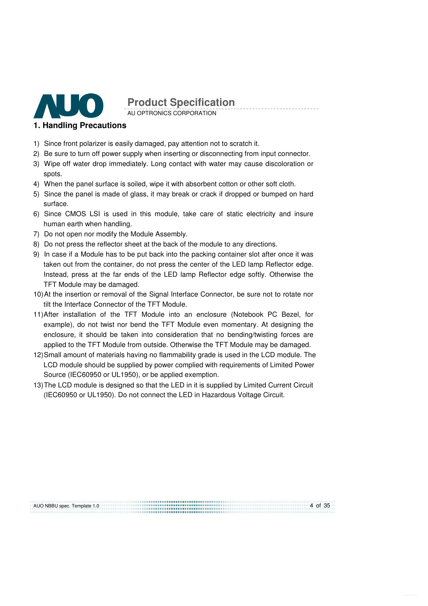

AU OPTRONICS CORPORATION

#### **1. Handling Precautions**

- 1) Since front polarizer is easily damaged, pay attention not to scratch it.
- 2) Be sure to turn off power supply when inserting or disconnecting from input connector.
- 3) Wipe off water drop immediately. Long contact with water may cause discoloration or spots.
- 4) When the panel surface is soiled, wipe it with absorbent cotton or other soft cloth.
- 5) Since the panel is made of glass, it may break or crack if dropped or bumped on hard surface.
- 6) Since CMOS LSI is used in this module, take care of static electricity and insure human earth when handling.
- 7) Do not open nor modify the Module Assembly.
- 8) Do not press the reflector sheet at the back of the module to any directions.
- 9) In case if a Module has to be put back into the packing container slot after once it was taken out from the container, do not press the center of the LED lamp Reflector edge. Instead, press at the far ends of the LED lamp Reflector edge softly. Otherwise the TFT Module may be damaged.
- 10) At the insertion or removal of the Signal Interface Connector, be sure not to rotate nor tilt the Interface Connector of the TFT Module.
- 11) After installation of the TFT Module into an enclosure (Notebook PC Bezel, for example), do not twist nor bend the TFT Module even momentary. At designing the enclosure, it should be taken into consideration that no bending/twisting forces are applied to the TFT Module from outside. Otherwise the TFT Module may be damaged.
- 12) Small amount of materials having no flammability grade is used in the LCD module. The LCD module should be supplied by power complied with requirements of Limited Power Source (IEC60950 or UL1950), or be applied exemption.
- 13) The LCD module is designed so that the LED in it is supplied by Limited Current Circuit (IEC60950 or UL1950). Do not connect the LED in Hazardous Voltage Circuit.

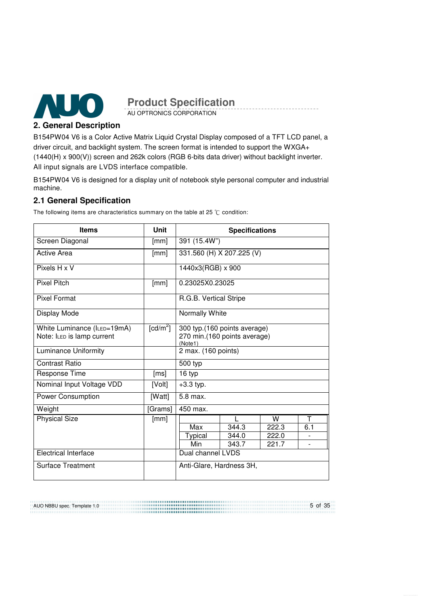

AU OPTRONICS CORPORATION

## **2. General Description**

B154PW04 V6 is a Color Active Matrix Liquid Crystal Display composed of a TFT LCD panel, a driver circuit, and backlight system. The screen format is intended to support the WXGA+ (1440(H) x 900(V)) screen and 262k colors (RGB 6-bits data driver) without backlight inverter. All input signals are LVDS interface compatible.

B154PW04 V6 is designed for a display unit of notebook style personal computer and industrial machine.

## **2.1 General Specification**

The following items are characteristics summary on the table at 25  $\degree$ C condition:

| <b>Items</b>                | <b>Unit</b> | <b>Specifications</b>                   |              |       |     |  |
|-----------------------------|-------------|-----------------------------------------|--------------|-------|-----|--|
| Screen Diagonal             | [mm]        | 391 (15.4W")                            |              |       |     |  |
| Active Area                 | [mm]        | 331.560 (H) X 207.225 (V)               |              |       |     |  |
| Pixels H x V                |             | 1440x3(RGB) x 900                       |              |       |     |  |
| <b>Pixel Pitch</b>          | [mm]        | 0.23025X0.23025                         |              |       |     |  |
| <b>Pixel Format</b>         |             | R.G.B. Vertical Stripe                  |              |       |     |  |
| Display Mode                |             | Normally White                          |              |       |     |  |
| White Luminance (ILED=19mA) | [ $cd/m2$ ] | 300 typ.(160 points average)            |              |       |     |  |
| Note: ILED is lamp current  |             | 270 min.(160 points average)<br>(Note1) |              |       |     |  |
| Luminance Uniformity        |             | 2 max. (160 points)                     |              |       |     |  |
| Contrast Ratio              |             | 500 typ                                 |              |       |     |  |
| Response Time               | [ms]        | 16 typ                                  |              |       |     |  |
| Nominal Input Voltage VDD   | [Volt]      | $+3.3$ typ.                             |              |       |     |  |
| <b>Power Consumption</b>    | [Watt]      | 5.8 max.                                |              |       |     |  |
| Weight                      | [Grams]     | 450 max.                                |              |       |     |  |
| <b>Physical Size</b>        | [mm]        |                                         | $\mathbf{L}$ | W     | T   |  |
|                             |             | Max                                     | 344.3        | 222.3 | 6.1 |  |
|                             |             | Typical                                 | 344.0        | 222.0 |     |  |
|                             |             | Min                                     | 343.7        | 221.7 |     |  |
| <b>Electrical Interface</b> |             | Dual channel LVDS                       |              |       |     |  |
| <b>Surface Treatment</b>    |             | Anti-Glare, Hardness 3H,                |              |       |     |  |

AUO NBBU spec. Template 1.0 ................................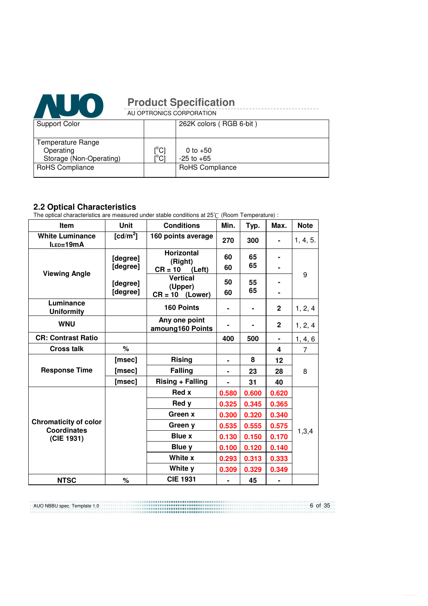

|                         | AU OPTRONICS CORPORATION |                         |  |  |  |  |  |
|-------------------------|--------------------------|-------------------------|--|--|--|--|--|
| <b>Support Color</b>    |                          | 262K colors (RGB 6-bit) |  |  |  |  |  |
|                         |                          |                         |  |  |  |  |  |
| Temperature Range       |                          |                         |  |  |  |  |  |
| Operating               | $\binom{0}{c}$           | 0 to $+50$              |  |  |  |  |  |
| Storage (Non-Operating) | i°ci                     | $-25$ to $+65$          |  |  |  |  |  |
| RoHS Compliance         |                          | RoHS Compliance         |  |  |  |  |  |
|                         |                          |                         |  |  |  |  |  |

# **2.2 Optical Characteristics**

The optical characteristics are measured under stable conditions at 25 $\degree$ C (Room Temperature) :

| <b>Item</b>                                        | <b>Unit</b>          | <b>Conditions</b>                 | Min.  | Typ.  | Max.         | <b>Note</b>    |
|----------------------------------------------------|----------------------|-----------------------------------|-------|-------|--------------|----------------|
| <b>White Luminance</b><br>ILED=19mA                | [cd/m <sup>2</sup> ] | 160 points average                | 270   | 300   |              | 1, 4, 5.       |
|                                                    | [degree]             | Horizontal<br>(Right)             | 60    | 65    |              |                |
| <b>Viewing Angle</b>                               | [degree]             | $CR = 10$<br>(Left)               | 60    | 65    |              |                |
|                                                    | [degree]             | <b>Vertical</b>                   | 50    | 55    |              | 9              |
|                                                    | [degree]             | (Upper)<br>$CR = 10$<br>(Lower)   | 60    | 65    |              |                |
| Luminance<br><b>Uniformity</b>                     |                      | 160 Points                        | ۰     |       | $\mathbf{2}$ | 1, 2, 4        |
| <b>WNU</b>                                         |                      | Any one point<br>amoung160 Points |       |       | $\mathbf{2}$ | 1, 2, 4        |
| <b>CR: Contrast Ratio</b>                          |                      |                                   | 400   | 500   | ٠            | 1, 4, 6        |
| <b>Cross talk</b>                                  | $\%$                 |                                   |       |       | 4            | $\overline{7}$ |
|                                                    | [msec]               | <b>Rising</b><br>ä,               |       | 8     | 12           |                |
| <b>Response Time</b>                               | [msec]               | <b>Falling</b>                    | ۰     | 23    | 28           | 8              |
|                                                    | [msec]               | Rising + Falling                  |       | 31    | 40           |                |
|                                                    |                      | <b>Red x</b>                      | 0.580 | 0.600 | 0.620        |                |
|                                                    |                      | Red y                             | 0.325 | 0.345 | 0.365        |                |
|                                                    |                      | Green x                           | 0.300 | 0.320 | 0.340        |                |
| <b>Chromaticity of color</b><br><b>Coordinates</b> |                      | Green y                           | 0.535 | 0.555 | 0.575        |                |
| (CIE 1931)                                         |                      | <b>Blue x</b>                     | 0.130 | 0.150 | 0.170        | 1,3,4          |
|                                                    |                      | Blue y                            | 0.100 | 0.120 | 0.140        |                |
|                                                    |                      | White x                           | 0.293 | 0.313 | 0.333        |                |
|                                                    |                      | White y                           | 0.309 | 0.329 | 0.349        |                |
| <b>NTSC</b>                                        | %                    | <b>CIE 1931</b>                   |       | 45    |              |                |

AUO NBBU spec. Template 1.0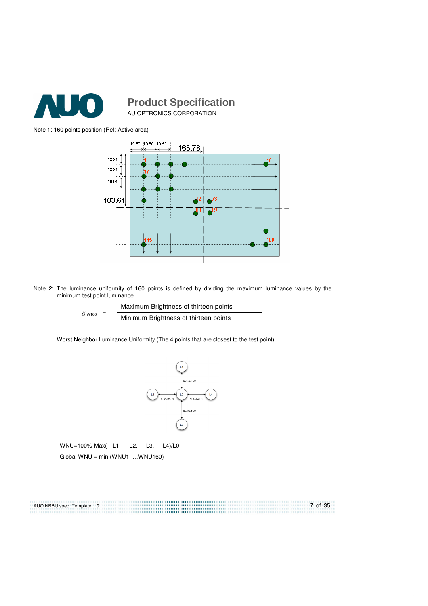

AU OPTRONICS CORPORATION **Product Specification** 

#### Note 1: 160 points position (Ref: Active area)



Note 2: The luminance uniformity of 160 points is defined by dividing the maximum luminance values by the minimum test point luminance

> $\delta$  W<sub>160</sub> = Maximum Brightness of thirteen points Minimum Brightness of thirteen points

Worst Neighbor Luminance Uniformity (The 4 points that are closest to the test point)



 WNU=100%-Max( L1, L2, L3, L4)/L0  $G$ lobal WNU = min (WNU1, ...WNU160)

7 of 35 AUO NBBU spec. Template 1.0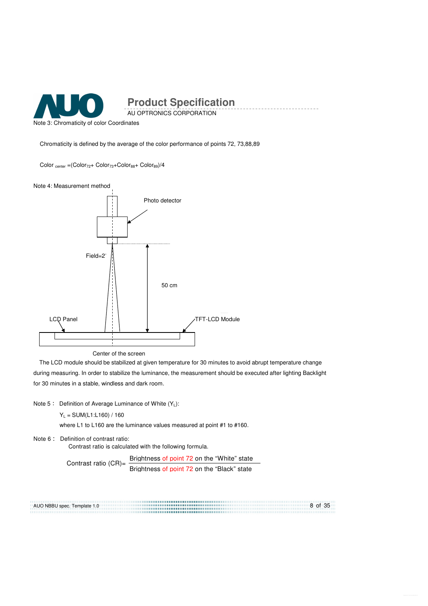

Note 3: Chromaticity of color Coordinates

Chromaticity is defined by the average of the color performance of points 72, 73,88,89

 $Color_{center} = (Color_{72} + Color_{73} + Color_{88} + Color_{89})/4$ 

Note 4: Measurement method



The LCD module should be stabilized at given temperature for 30 minutes to avoid abrupt temperature change during measuring. In order to stabilize the luminance, the measurement should be executed after lighting Backlight for 30 minutes in a stable, windless and dark room.

Note 5 : Definition of Average Luminance of White  $(Y_L)$ :

 $Y_L = SUM(L1:L160) / 160$ 

where L1 to L160 are the luminance values measured at point #1 to #160.

Note 6: Definition of contrast ratio:

Contrast ratio is calculated with the following formula.

Contrast ratio (CR)=  $\frac{\text{Brightness of point 72 on the "White" state}}{\text{Brightness of point 72 on the "Black" state}}$ 

8 of 35 AUO NBBU spec. Template 1.0 ...................................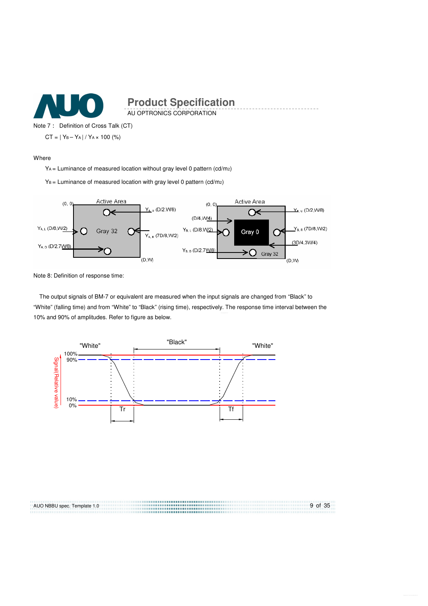

AU OPTRONICS CORPORATION

Note 7: Definition of Cross Talk (CT)  $CT = | Y_B - Y_A | / Y_A \times 100 (%)$ 

#### Where

YA = Luminance of measured location without gray level 0 pattern (cd/m2)

 $Y_B =$  Luminance of measured location with gray level 0 pattern (cd/m<sub>2</sub>)



Note 8: Definition of response time:

The output signals of BM-7 or equivalent are measured when the input signals are changed from "Black" to "White" (falling time) and from "White" to "Black" (rising time), respectively. The response time interval between the 10% and 90% of amplitudes. Refer to figure as below.



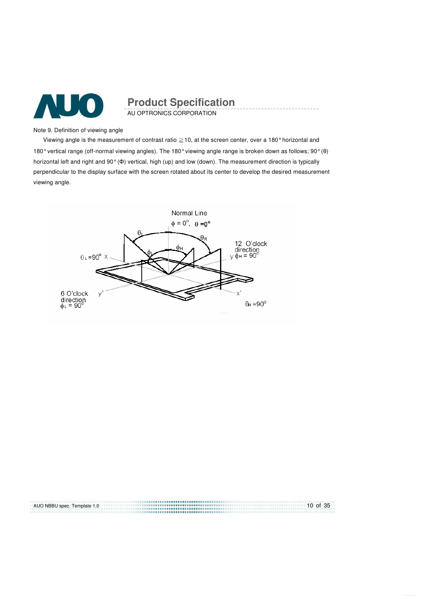

AU OPTRONICS CORPORATION **Product Specification** 

Note 9. Definition of viewing angle

Viewing angle is the measurement of contrast ratio  $\geq$  10, at the screen center, over a 180° horizontal and 180° vertical range (off-normal viewing angles). The 180° viewing angle range is broken down as follows; 90° (θ) horizontal left and right and 90° (Φ) vertical, high (up) and low (down). The measurement direction is typically perpendicular to the display surface with the screen rotated about its center to develop the desired measurement viewing angle.



AUO NBBU spec. Template 1.0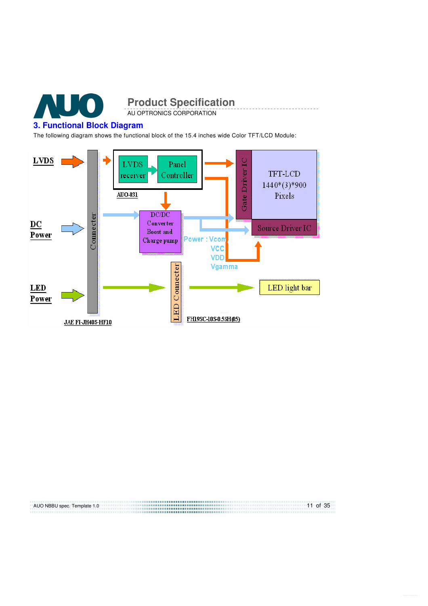

#### **3. Functional Block Diagram**

AUO NBBU spec. Template 1.0

The following diagram shows the functional block of the 15.4 inches wide Color TFT/LCD Module:

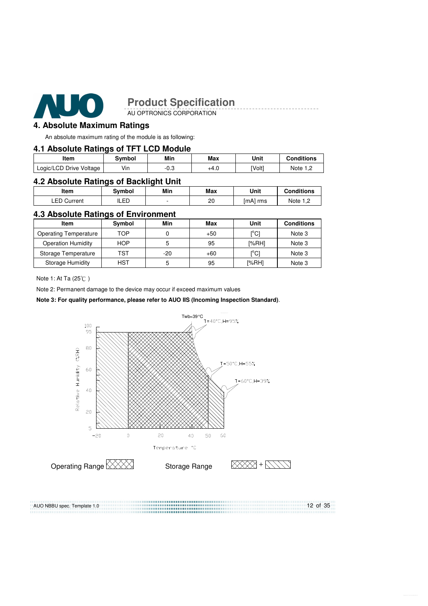

AU OPTRONICS CORPORATION

#### **4. Absolute Maximum Ratings**

An absolute maximum rating of the module is as following:

#### **4.1 Absolute Ratings of TFT LCD Module**

| Item                    | Svmbol | Min         | Max  | Unit   | Conditions |
|-------------------------|--------|-------------|------|--------|------------|
| Logic/LCD Drive Voltage | Vin    | n c<br>-u.J | +4.U | [Volt] | Note 1 C   |

#### **4.2 Absolute Ratings of Backlight Unit**

| ltem           | Svmbol | Min | Max | Unit     | <b>Conditions</b>                |
|----------------|--------|-----|-----|----------|----------------------------------|
| ∟ED<br>Current | LED.   |     | 20  | [mA] rms | Note<br>$\overline{\phantom{a}}$ |

#### **4.3 Absolute Ratings of Environment**

| Item                         | Symbol     | Min | Max   | Unit                          | <b>Conditions</b> |
|------------------------------|------------|-----|-------|-------------------------------|-------------------|
| <b>Operating Temperature</b> | TOP        |     | $+50$ | $\mathsf{I}^\circ\mathsf{Cl}$ | Note 3            |
| <b>Operation Humidity</b>    | <b>HOP</b> | 5   | 95    | [%RH]                         | Note 3            |
| Storage Temperature          | TST        | -20 | $+60$ | $\mathsf{I}^\circ\mathsf{Cl}$ | Note 3            |
| Storage Humidity             | HST        | 5   | 95    | [%RH]                         | Note 3            |

Note 1: At Ta (25°C)

Note 2: Permanent damage to the device may occur if exceed maximum values

#### **Note 3: For quality performance, please refer to AUO IIS (Incoming Inspection Standard)**.



AUO NBBU spec. Template 1.0 12 of 35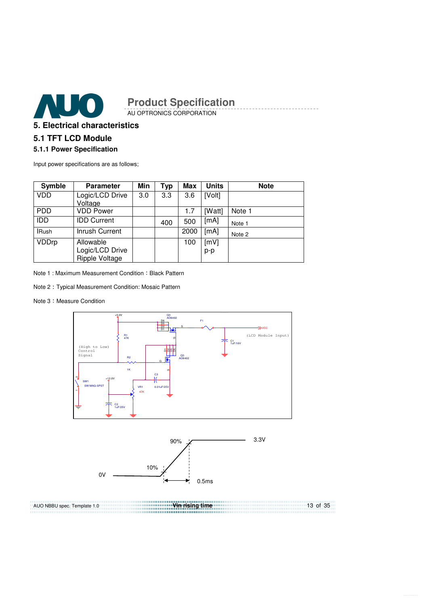

AU OPTRONICS CORPORATION

## **5. Electrical characteristics**

## **5.1 TFT LCD Module**

#### **5.1.1 Power Specification**

Input power specifications are as follows;

| <b>Symble</b> | <b>Parameter</b>                  | Min | Typ | Max  | <b>Units</b> | <b>Note</b> |
|---------------|-----------------------------------|-----|-----|------|--------------|-------------|
| <b>VDD</b>    | Logic/LCD Drive                   | 3.0 | 3.3 | 3.6  | [Volt]       |             |
|               | Voltage                           |     |     |      |              |             |
| <b>PDD</b>    | <b>VDD Power</b>                  |     |     | 1.7  | [Watt]       | Note 1      |
| <b>IDD</b>    | <b>IDD Current</b>                |     | 400 | 500  | [mA]         | Note 1      |
| <b>IRush</b>  | Inrush Current                    |     |     | 2000 | [mA]         | Note 2      |
| VDDrp         | Allowable                         |     |     | 100  | [mV]         |             |
|               | Logic/LCD Drive<br>Ripple Voltage |     |     |      | p-p          |             |

Note 1 : Maximum Measurement Condition : Black Pattern

- Note 2 Typical Measurement Condition: Mosaic Pattern
- Note 3: Measure Condition





**Vin rising time**  AUO NBBU spec. Template 1.0 13 of 35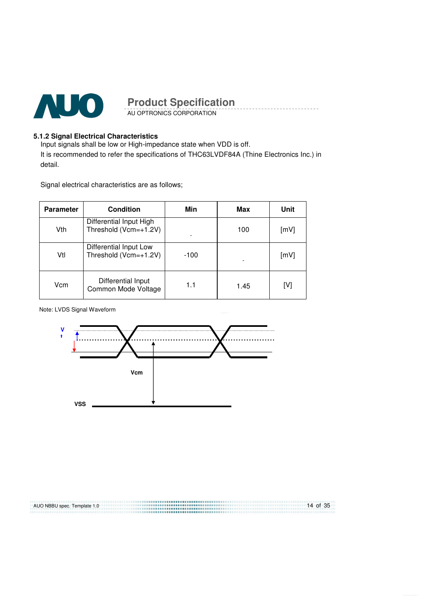

AU OPTRONICS CORPORATION

#### **5.1.2 Signal Electrical Characteristics**

Input signals shall be low or High-impedance state when VDD is off. It is recommended to refer the specifications of THC63LVDF84A (Thine Electronics Inc.) in detail.

Signal electrical characteristics are as follows;

| <b>Parameter</b> | <b>Condition</b>                                 | Min    | Max  | Unit |
|------------------|--------------------------------------------------|--------|------|------|
| Vth              | Differential Input High<br>Threshold (Vcm=+1.2V) |        | 100  | [mV] |
| Vtl              | Differential Input Low<br>Threshold (Vcm=+1.2V)  | $-100$ |      | [mV] |
| Vcm              | Differential Input<br>Common Mode Voltage        | 1.1    | 1.45 | [V]  |

Note: LVDS Signal Waveform



AUO NBBU spec. Template 1.0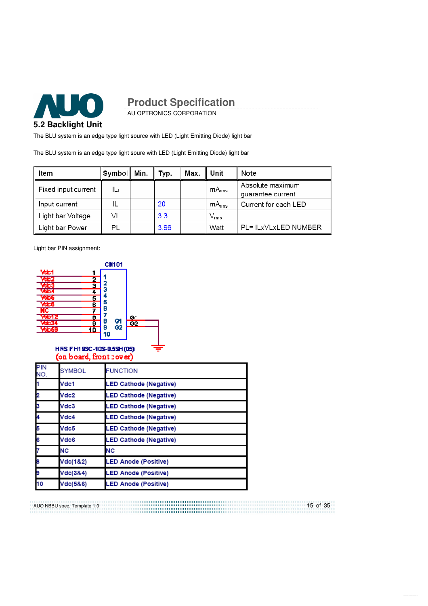

AU OPTRONICS CORPORATION

The BLU system is an edge type light source with LED (Light Emitting Diode) light bar

The BLU system is an edge type light soure with LED (Light Emitting Diode) light bar

| Item                            | ∥Symbol∥ Min. | Typ. | Max. | Unit              | Note                                  |
|---------------------------------|---------------|------|------|-------------------|---------------------------------------|
| $\parallel$ Fixed input current | ILt           |      |      | mA <sub>rms</sub> | Absolute maximum<br>quarantee current |
| Input current                   |               | 20   |      | mA <sub>rms</sub> | Current for each LED                  |
| ∥ Light bar Voltage             | VL            | 3.3  |      | $\rm V_{rms}$     |                                       |
| Light bar Power                 | PL            | 3.96 |      | Watt              | PL= IL <sub>X</sub> VLxLED NUMBER     |

Light bar PIN assignment:



#### HRS FH19SC-10S-0.5SH(05) (on board, front cover)

| PIN<br>NO. | <b>SYMBOL</b> | <b>FUNCTION</b>               |
|------------|---------------|-------------------------------|
|            | Vdc1          | <b>LED Cathode (Negative)</b> |
|            | Vdc2          | <b>LED Cathode (Negative)</b> |
|            | Vdc3          | <b>LED Cathode (Negative)</b> |
|            | Vdc4          | <b>LED Cathode (Negative)</b> |
|            | Vdc5          | <b>LED Cathode (Negative)</b> |
|            | Vdc6          | <b>LED Cathode (Negative)</b> |
|            | <b>NC</b>     | <b>NC</b>                     |
|            | Vdc(1&2)      | <b>LED Anode (Positive)</b>   |
|            | Vdc(3&4)      | <b>LED Anode (Positive)</b>   |
| 10         | Vdc(5&6)      | <b>LED Anode (Positive)</b>   |

15 of 35 AUO NBBU spec. Template 1.0 .................................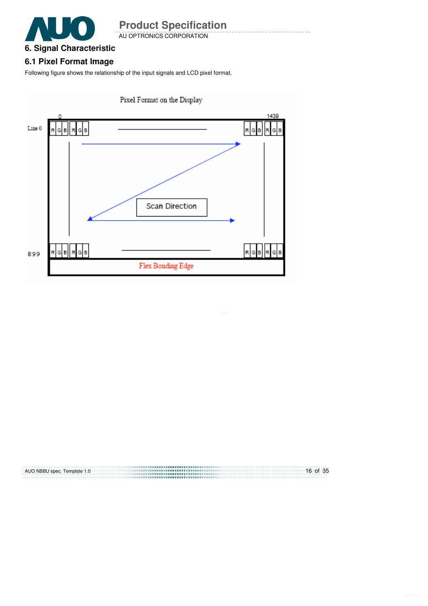

AU OPTRONICS CORPORATION

# **6.1 Pixel Format Image**

Following figure shows the relationship of the input signals and LCD pixel format.



Pixel Format on the Display

| AUO NBBU spec. Template 1.0 | $16$ of 35 |
|-----------------------------|------------|
|                             |            |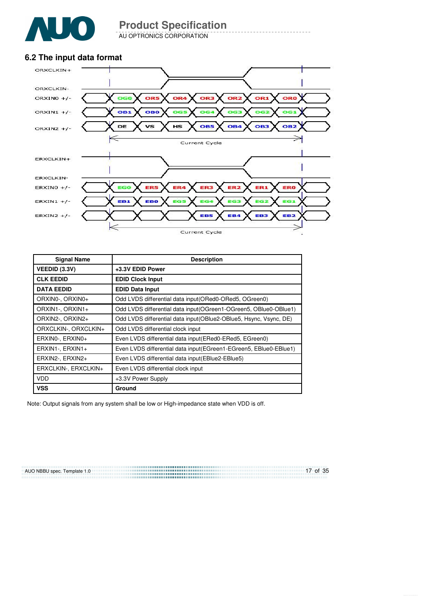

AU OPTRONICS CORPORATION

## **6.2 The input data format**



| <b>Signal Name</b>   | <b>Description</b>                                                 |
|----------------------|--------------------------------------------------------------------|
| <b>VEEDID (3.3V)</b> | +3.3V EDID Power                                                   |
| <b>CLK EEDID</b>     | <b>EDID Clock Input</b>                                            |
| <b>DATA EEDID</b>    | <b>EDID Data Input</b>                                             |
| ORXIN0-, ORXIN0+     | Odd LVDS differential data input (ORed0-ORed5, OGreen0)            |
| ORXIN1-, ORXIN1+     | Odd LVDS differential data input (OGreen1-OGreen5, OBlue0-OBlue1)  |
| ORXIN2-, ORXIN2+     | Odd LVDS differential data input (OBlue2-OBlue5, Hsync, Vsync, DE) |
| ORXCLKIN-, ORXCLKIN+ | Odd LVDS differential clock input                                  |
| ERXINO-, ERXINO+     | Even LVDS differential data input (ERed0-ERed5, EGreen0)           |
| ERXIN1-, ERXIN1+     | Even LVDS differential data input (EGreen1-EGreen5, EBlue0-EBlue1) |
| ERXIN2-, ERXIN2+     | Even LVDS differential data input (EBlue2-EBlue5)                  |
| ERXCLKIN-, ERXCLKIN+ | Even LVDS differential clock input                                 |
| VDD                  | +3.3V Power Supply                                                 |
| <b>VSS</b>           | Ground                                                             |

Note: Output signals from any system shall be low or High-impedance state when VDD is off.

<u>17 of 35</u><br>
<u>17 of 35</u> AUO NBBU spec. Template 1.0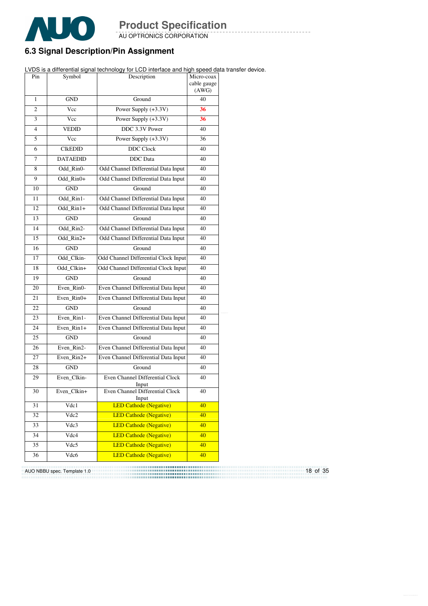

AU OPTRONICS CORPORATION

## **6.3 Signal Description/Pin Assignment**

LVDS is a differential signal technology for LCD interface and high speed data transfer device.

| Pin | Symbol          | Description                              | Micro-coax<br>cable gauge<br>(AWG) |
|-----|-----------------|------------------------------------------|------------------------------------|
| 1   | <b>GND</b>      | Ground                                   | 40                                 |
| 2   | Vcc             | Power Supply (+3.3V)                     | 36                                 |
| 3   | Vcc             | Power Supply (+3.3V)                     | 36                                 |
| 4   | <b>VEDID</b>    | DDC 3.3V Power                           | 40                                 |
| 5   | Vcc             | Power Supply $(+3.3V)$                   | 36                                 |
| 6   | <b>CIKEDID</b>  | <b>DDC</b> Clock                         | 40                                 |
| 7   | <b>DATAEDID</b> | <b>DDC</b> Data                          | 40                                 |
| 8   | Odd Rin0-       | Odd Channel Differential Data Input      | 40                                 |
| 9   | Odd Rin0+       | Odd Channel Differential Data Input      | 40                                 |
| 10  | <b>GND</b>      | Ground                                   | 40                                 |
| 11  | Odd Rin1-       | Odd Channel Differential Data Input      | 40                                 |
| 12  | Odd Rin1+       | Odd Channel Differential Data Input      | 40                                 |
| 13  | <b>GND</b>      | Ground                                   | 40                                 |
| 14  | Odd Rin2-       | Odd Channel Differential Data Input      | 40                                 |
| 15  | Odd Rin2+       | Odd Channel Differential Data Input      | 40                                 |
| 16  | <b>GND</b>      | Ground                                   | 40                                 |
| 17  | Odd Clkin-      | Odd Channel Differential Clock Input     | 40                                 |
| 18  | Odd Clkin+      | Odd Channel Differential Clock Input     | 40                                 |
| 19  | <b>GND</b>      | Ground                                   | 40                                 |
| 20  | Even_Rin0-      | Even Channel Differential Data Input     | 40                                 |
| 21  | Even Rin0+      | Even Channel Differential Data Input     | 40                                 |
| 22  | <b>GND</b>      | Ground                                   | 40                                 |
| 23  | Even Rin1-      | Even Channel Differential Data Input     | 40                                 |
| 24  | Even Rin1+      | Even Channel Differential Data Input     | 40                                 |
| 25  | <b>GND</b>      | Ground                                   | 40                                 |
| 26  | Even Rin2-      | Even Channel Differential Data Input     | 40                                 |
| 27  | Even Rin2+      | Even Channel Differential Data Input     | 40                                 |
| 28  | <b>GND</b>      | Ground                                   | 40                                 |
| 29  | Even Clkin-     | Even Channel Differential Clock<br>Input | 40                                 |
| 30  | Even Clkin+     | Even Channel Differential Clock<br>Input | 40                                 |
| 31  | Vdc1            | <b>LED Cathode (Negative)</b>            | 40                                 |
| 32  | Vdc2            | <b>LED Cathode (Negative)</b>            | 40                                 |
| 33  | Vdc3            | <b>LED Cathode (Negative)</b>            | 40                                 |
| 34  | Vdc4            | <b>LED Cathode (Negative)</b>            | 40                                 |
| 35  | Vdc5            | <b>LED Cathode (Negative)</b>            | 40                                 |
| 36  | Vdc6            | <b>LED Cathode (Negative)</b>            | 40                                 |

18 of 35 AUO NBBU spec. Template 1.0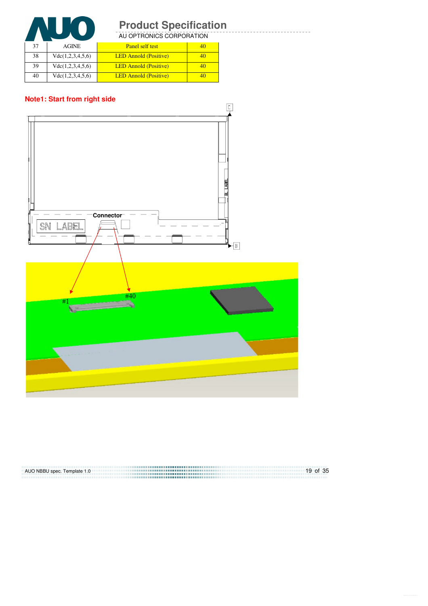

AU OPTRONICS CORPORATION

| 37 | <b>AGINE</b>     | Panel self test              | 40 |
|----|------------------|------------------------------|----|
| 38 | Vdc(1,2,3,4,5,6) | <b>LED Annold (Positive)</b> |    |
| 39 | Vdc(1,2,3,4,5,6) | <b>LED Annold (Positive)</b> | 40 |
| 40 | Vdc(1,2,3,4,5,6) | <b>LED Annold (Positive)</b> |    |

#### **Note1: Start from right side**



| AUO NBBU spec. Template 1.0 | $19$ of 35 |
|-----------------------------|------------|
|                             |            |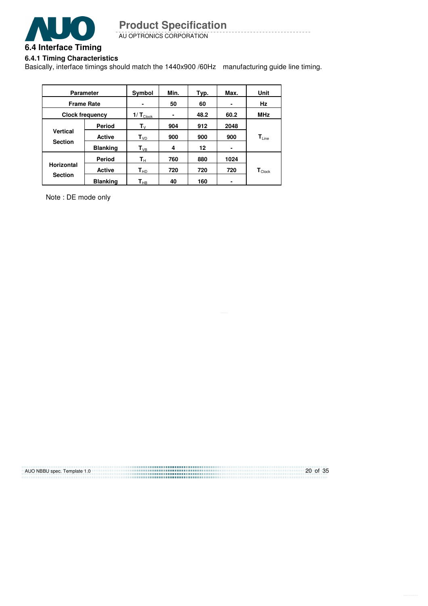

AU OPTRONICS CORPORATION

## **6.4.1 Timing Characteristics**

Basically, interface timings should match the 1440x900 /60Hz manufacturing guide line timing.

| <b>Parameter</b>                    |                 | Symbol                         | Min. | Typ. | Max. | Unit                          |
|-------------------------------------|-----------------|--------------------------------|------|------|------|-------------------------------|
| <b>Frame Rate</b>                   |                 |                                | 50   | 60   |      | Hz                            |
| <b>Clock frequency</b>              |                 | 1/ $T_{\tiny{\textrm{Clock}}}$ |      | 48.2 | 60.2 | <b>MHz</b>                    |
|                                     | Period          | $\mathbf{T}_{\mathsf{V}}$      | 904  | 912  | 2048 |                               |
| <b>Vertical</b><br><b>Section</b>   | <b>Active</b>   | $\mathsf{T}_{\texttt{VD}}$     | 900  | 900  | 900  | $T_{\text{Line}}$             |
|                                     | <b>Blanking</b> | $\mathbf{T}_{\text{VB}}$       | 4    | 12   | ٠    |                               |
| <b>Horizontal</b><br><b>Section</b> | Period          | $\mathbf{T}_{\rm H}$           | 760  | 880  | 1024 |                               |
|                                     | <b>Active</b>   | $\mathbf{T}_{\sf HD}$          | 720  | 720  | 720  | $\mathsf{T}_{\mathsf{Clock}}$ |
|                                     | <b>Blanking</b> | $\mathsf{T}_{\mathsf{HB}}$     | 40   | 160  |      |                               |

Note : DE mode only

| AUO NBBU spec. Template 1.0 | $20$ of 35 |
|-----------------------------|------------|
|                             |            |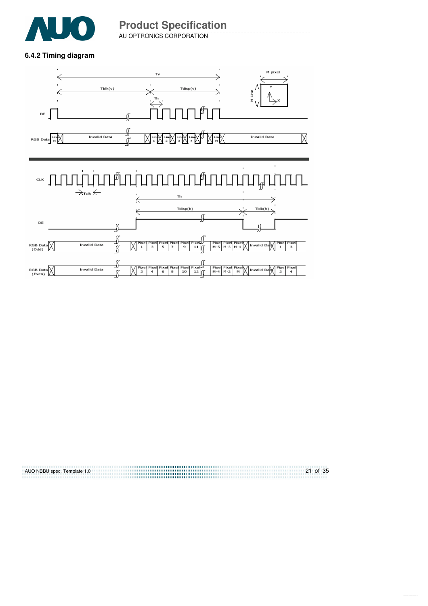

AU OPTRONICS CORPORATION

#### **6.4.2 Timing diagram**



| AUO NBBU spec. Template 1.0 | $21$ of 35 |
|-----------------------------|------------|
|                             |            |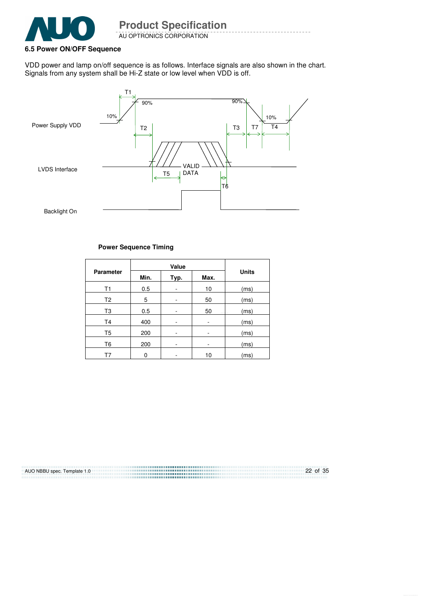

AU OPTRONICS CORPORATION **Product Specification** 

#### **6.5 Power ON/OFF Sequence**

VDD power and lamp on/off sequence is as follows. Interface signals are also shown in the chart. Signals from any system shall be Hi-Z state or low level when VDD is off.



#### **Power Sequence Timing**

| <b>Parameter</b> | Min. | Typ. | Max. | <b>Units</b> |
|------------------|------|------|------|--------------|
| T <sub>1</sub>   | 0.5  | ۰    | 10   | (ms)         |
| T <sub>2</sub>   | 5    | ۰    | 50   | (ms)         |
| T3               | 0.5  | ۰    | 50   | (ms)         |
| T4               | 400  | -    |      | (ms)         |
| T5               | 200  |      |      | (ms)         |
| T6               | 200  | ۰    | ۰    | (ms)         |
| T7               | 0    |      | 10   | (ms)         |

AUO NBBU spec. Template 1.0 22 of 35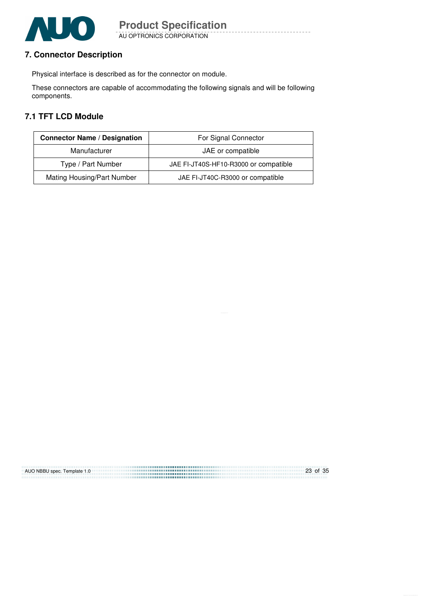

AU OPTRONICS CORPORATION

## **7. Connector Description**

Physical interface is described as for the connector on module.

These connectors are capable of accommodating the following signals and will be following components.

## **7.1 TFT LCD Module**

| <b>Connector Name / Designation</b> | For Signal Connector                  |
|-------------------------------------|---------------------------------------|
| Manufacturer                        | JAE or compatible                     |
| Type / Part Number                  | JAE FI-JT40S-HF10-R3000 or compatible |
| Mating Housing/Part Number          | JAE FI-JT40C-R3000 or compatible      |

| AUO NBBU spec. Template 1.0 | 23 of 35 |
|-----------------------------|----------|
|                             |          |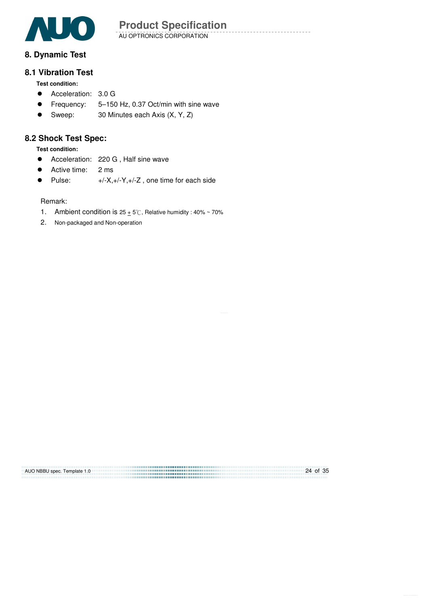

AU OPTRONICS CORPORATION

## **8. Dynamic Test**

## **8.1 Vibration Test**

**Test condition:** 

- Acceleration: 3.0 G
- Frequency: 5-150 Hz, 0.37 Oct/min with sine wave
- Sweep: 30 Minutes each Axis (X, Y, Z)

## **8.2 Shock Test Spec:**

**Test condition:** 

- Acceleration: 220 G, Half sine wave
- Active time: 2 ms
- Pulse:  $+/-X,+/-Y,+/-Z$ , one time for each side

Remark:

- 1. Ambient condition is  $25 \pm 5^\circ$ C, Relative humidity : 40% ~ 70%
- 2. Non-packaged and Non-operation

| AUO NBBU spec. Template 1.0 | 24 of 35 |
|-----------------------------|----------|
|                             |          |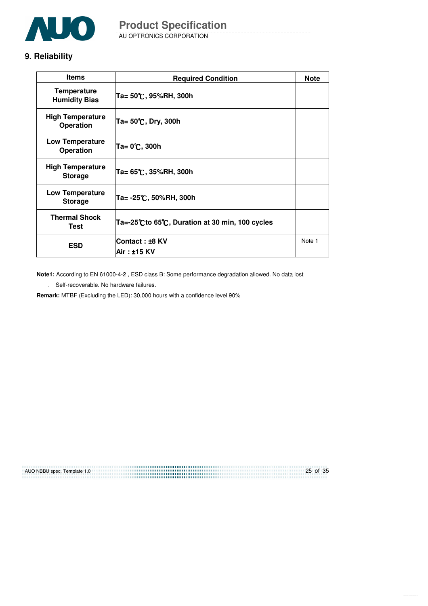

# **9. Reliability**

| <b>Items</b>                                | <b>Required Condition</b>                      | <b>Note</b> |
|---------------------------------------------|------------------------------------------------|-------------|
| <b>Temperature</b><br><b>Humidity Bias</b>  | Ta= 50℃, 95%RH, 300h                           |             |
| <b>High Temperature</b><br><b>Operation</b> | Ta= $50^{\circ}$ C, Dry, 300h                  |             |
| <b>Low Temperature</b><br><b>Operation</b>  | Ta= 0℃, 300h                                   |             |
| <b>High Temperature</b><br><b>Storage</b>   | Ta= 65℃, 35%RH, 300h                           |             |
| Low Temperature<br><b>Storage</b>           | Ta= -25℃, 50%RH, 300h                          |             |
| <b>Thermal Shock</b><br>Test                | Ta=-25℃ to 65℃, Duration at 30 min, 100 cycles |             |
| <b>ESD</b>                                  | Contact: ±8 KV                                 | Note 1      |
|                                             | Air : ±15 KV                                   |             |

**Note1:** According to EN 61000-4-2 , ESD class B: Some performance degradation allowed. No data lost

. Self-recoverable. No hardware failures.

**Remark:** MTBF (Excluding the LED): 30,000 hours with a confidence level 90%

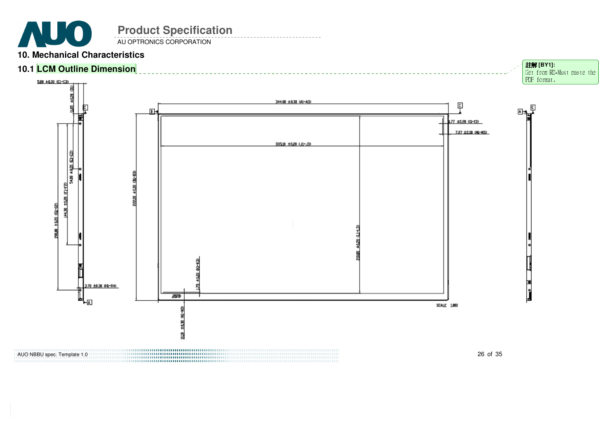**Product Specification AUO** AU OPTRONICS CORPORATION

AUO NBBU spec. Template 1.0

# **10. Mechanical Characteristics**

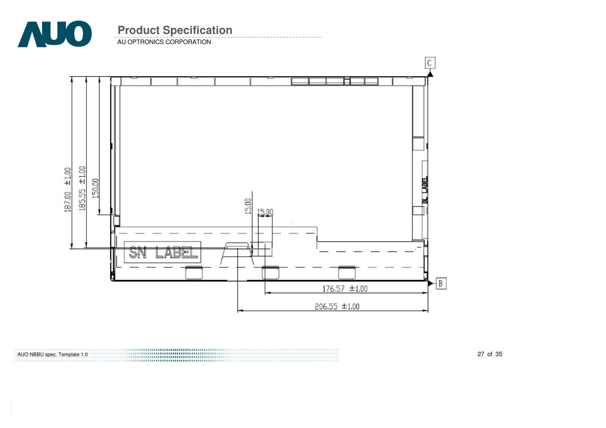

AU OPTRONICS CORPORATION

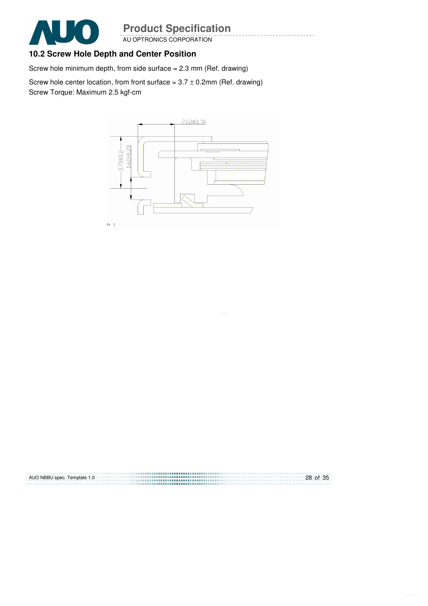

#### AU OPTRONICS CORPORATION

# **10.2 Screw Hole Depth and Center Position**

Screw hole minimum depth, from side surface = 2.3 mm (Ref. drawing)

Screw hole center location, from front surface =  $3.7 \pm 0.2$ mm (Ref. drawing) Screw Torque: Maximum 2.5 kgf-cm



| AUO NBBU spec. Template 1.0 | 28 of 35 |
|-----------------------------|----------|
|                             |          |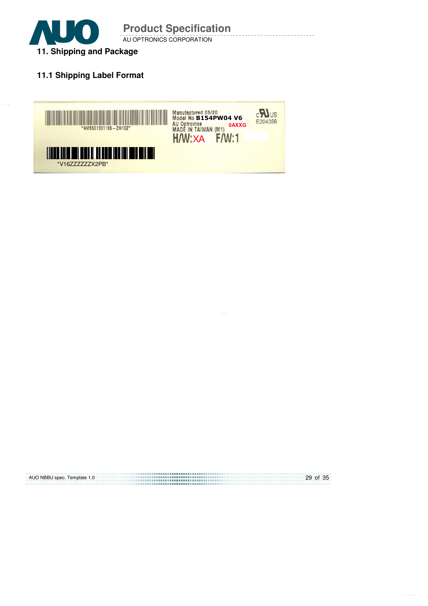

# **11.1 Shipping Label Format**



29 of 35 AUO NBBU spec. Template 1.0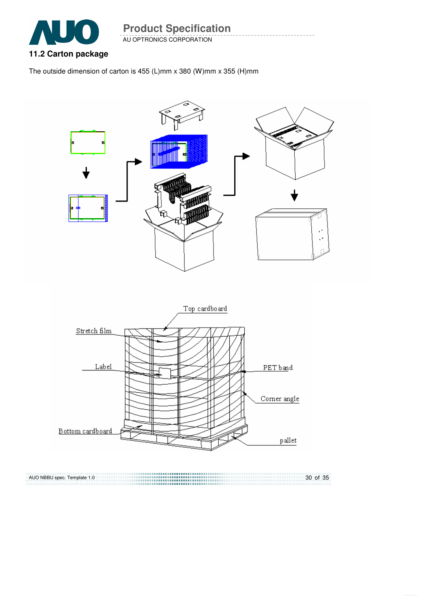

AU OPTRONICS CORPORATION **Product Specification** 

# **11.2 Carton package**

The outside dimension of carton is 455 (L)mm x 380 (W)mm x 355 (H)mm



,,,,,,,,,,,,,,,,,,,,, 30 of 35 AUO NBBU spec. Template 1.0 ,,,,,,,,,,,,,,,,,,,,,,,,,,,,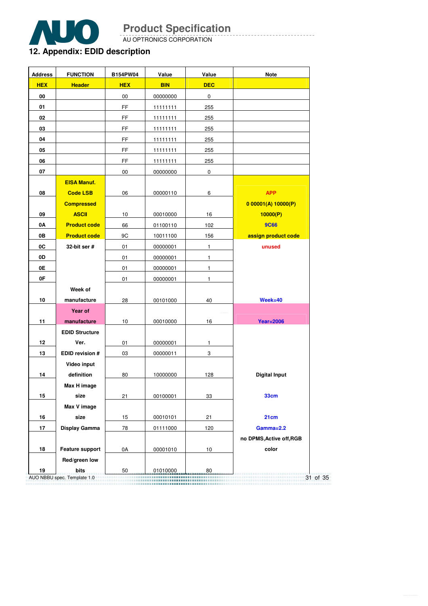

AU OPTRONICS CORPORATION

# **12. Appendix: EDID description**

| <b>Address</b> | <b>FUNCTION</b>             | B154PW04        | Value      | Value                | <b>Note</b>              |
|----------------|-----------------------------|-----------------|------------|----------------------|--------------------------|
| <b>HEX</b>     | <b>Header</b>               | <b>HEX</b>      | <b>BIN</b> | <b>DEC</b>           |                          |
| 00             |                             | 00              | 00000000   | 0                    |                          |
| 01             |                             | FF.             | 11111111   | 255                  |                          |
| 02             |                             | FF.             | 11111111   | 255                  |                          |
| 03             |                             | FF.             | 11111111   | 255                  |                          |
| 04             |                             | FF.             | 11111111   | 255                  |                          |
| 05             |                             | FF.             | 11111111   | 255                  |                          |
| 06             |                             | FF.             | 11111111   | 255                  |                          |
| 07             |                             | 00              | 00000000   | 0                    |                          |
|                | <b>EISA Manuf.</b>          |                 |            |                      |                          |
| 08             | <b>Code LSB</b>             | 06              | 00000110   | 6                    | <b>APP</b>               |
|                | <b>Compressed</b>           |                 |            |                      | 000001(A)10000(P)        |
| 09             | <b>ASCII</b>                | 10              | 00010000   | 16                   | 10000(P)                 |
| 0A             | <b>Product code</b>         | 66              | 01100110   | 102                  | <b>9C66</b>              |
| 0В             | <b>Product code</b>         | 9C              | 10011100   | 156                  | assign product code      |
| 0C             | 32-bit ser $#$              | 01              | 00000001   | $\mathbf{1}$         | unused                   |
| 0D             |                             | 01              | 00000001   | $\mathbf{1}$         |                          |
| 0E             |                             | 01              | 00000001   | $\mathbf{1}$         |                          |
| 0F             |                             | 01              | 00000001   | $\mathbf{1}$         |                          |
|                | Week of                     |                 |            |                      |                          |
| 10             | manufacture                 | 28              | 00101000   | 40                   | $Week = 40$              |
|                | Year of                     |                 |            |                      |                          |
| 11             | manufacture                 | 10 <sup>1</sup> | 00010000   | 16                   | <b>Year=2006</b>         |
|                | <b>EDID Structure</b>       |                 |            |                      |                          |
| 12             | Ver.                        | 01              | 00000001   | 1                    |                          |
| 13             | <b>EDID revision #</b>      | 03              | 00000011   | 3                    |                          |
|                | Video input                 |                 |            |                      |                          |
| 14             | definition                  | 80              | 10000000   | 128                  | <b>Digital Input</b>     |
|                | Max H image                 |                 |            |                      |                          |
| 15             | size                        | 21              | 00100001   | 33                   | <b>33cm</b>              |
|                | Max V image                 |                 |            |                      |                          |
| 16             | size                        | 15              | 00010101   | 21                   | 21cm                     |
| 17             | Display Gamma               | 78              | 01111000   | 120                  | Gamma=2.2                |
|                |                             |                 |            |                      | no DPMS, Active off, RGB |
| 18             | Feature support             | 0A              | 00001010   | $10$                 | color                    |
|                | Red/green low               |                 |            |                      |                          |
| 19             | bits                        | 50              | 01010000   | 80                   |                          |
|                | AUO NBBU spec. Template 1.0 |                 |            | ,,,,,,,,,,,,,,,,,,,, |                          |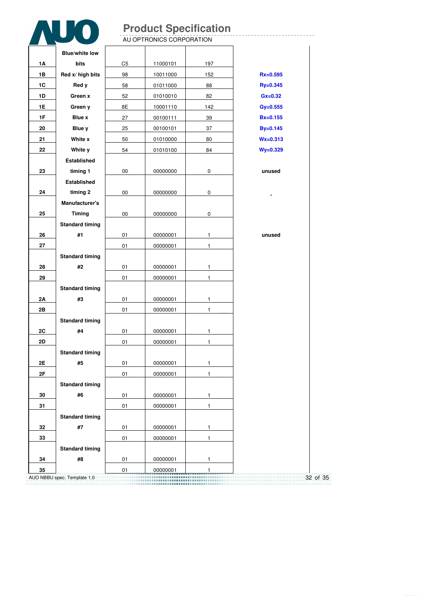--------------------

|    |                        |                | AU OPTRONICS CORPORATION |              |              |
|----|------------------------|----------------|--------------------------|--------------|--------------|
|    | <b>Blue/white low</b>  |                |                          |              |              |
| 1Α | bits                   | C <sub>5</sub> | 11000101                 | 197          |              |
| 1B | Red x/ high bits       | 98             | 10011000                 | 152          | $Rx = 0.595$ |
| 1C | Red y                  | 58             | 01011000                 | 88           | $Ry = 0.345$ |
| 1D | Green x                | 52             | 01010010                 | 82           | $Gx=0.32$    |
| 1E | Green y                | 8E             | 10001110                 | 142          | $Gy = 0.555$ |
| 1F | Blue x                 | 27             | 00100111                 | 39           | $Bx=0.155$   |
| 20 | Blue y                 | 25             | 00100101                 | 37           | By=0.145     |
| 21 | White x                | 50             | 01010000                 | 80           | $Wx = 0.313$ |
| 22 | White y                | 54             | 01010100                 | 84           | $Wy = 0.329$ |
|    | <b>Established</b>     |                |                          |              |              |
| 23 | timing 1               | 00             | 00000000                 | 0            | unused       |
|    | Established            |                |                          |              |              |
| 24 | timing 2               | $00\,$         | 00000000                 | 0            |              |
|    | Manufacturer's         |                |                          |              |              |
| 25 | <b>Timing</b>          | 00             | 00000000                 | $\mathbf 0$  |              |
|    | <b>Standard timing</b> |                |                          |              |              |
| 26 | #1                     | 01             | 00000001                 | $\mathbf{1}$ | unused       |
| 27 |                        | 01             | 00000001                 | $\mathbf{1}$ |              |
|    | <b>Standard timing</b> |                |                          |              |              |
| 28 | #2                     | 01             | 00000001                 | $\mathbf{1}$ |              |
| 29 |                        | 01             | 00000001                 | $\mathbf{1}$ |              |
|    | <b>Standard timing</b> |                |                          |              |              |
| 2A | #3                     | 01             | 00000001                 | $\mathbf{1}$ |              |
| 2B |                        | 01             | 00000001                 | $\mathbf{1}$ |              |
|    | <b>Standard timing</b> |                |                          |              |              |
| 2C | #4                     | 01             | 00000001                 | $\mathbf{1}$ |              |
| 2D |                        | 01             | 00000001                 | 1            |              |
|    | <b>Standard timing</b> |                |                          |              |              |
| 2E | #5                     | 01             | 00000001                 | 1            |              |
| 2F |                        | 01             | 00000001                 | $\mathbf{1}$ |              |
|    | <b>Standard timing</b> |                |                          |              |              |
| 30 | #6                     | 01             | 00000001                 | $\mathbf{1}$ |              |
| 31 |                        | 01             | 00000001                 | $\mathbf{1}$ |              |
|    | <b>Standard timing</b> |                |                          |              |              |
| 32 | #7                     | 01             | 00000001                 | $\mathbf{1}$ |              |
| 33 |                        | 01             | 00000001                 | $\mathbf{1}$ |              |
|    | <b>Standard timing</b> |                |                          |              |              |
| 34 | #8                     | 01             | 00000001                 | 1            |              |
| 35 |                        | 01             | 00000001                 | 1            |              |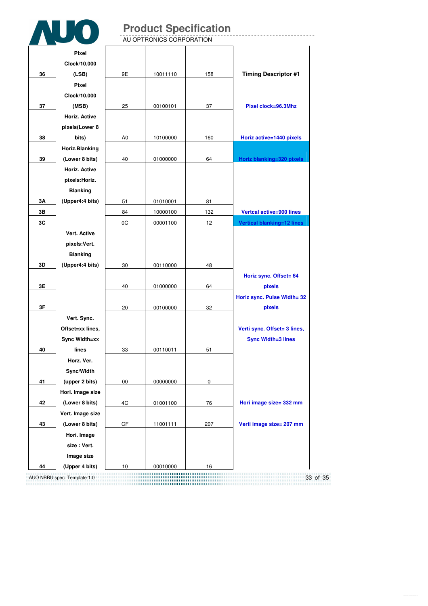|    |                      |                | <b>Product Specification</b><br>AU OPTRONICS CORPORATION |     |                              |
|----|----------------------|----------------|----------------------------------------------------------|-----|------------------------------|
|    |                      |                |                                                          |     |                              |
|    | <b>Pixel</b>         |                |                                                          |     |                              |
|    | Clock/10,000         |                |                                                          |     |                              |
| 36 | (LSB)                | 9E             | 10011110                                                 | 158 | <b>Timing Descriptor #1</b>  |
|    | Pixel                |                |                                                          |     |                              |
|    | Clock/10,000         |                |                                                          |     |                              |
| 37 | (MSB)                | 25             | 00100101                                                 | 37  | Pixel clock=96.3Mhz          |
|    | <b>Horiz. Active</b> |                |                                                          |     |                              |
|    | pixels(Lower 8       |                |                                                          |     |                              |
| 38 | bits)                | A <sub>0</sub> | 10100000                                                 | 160 | Horiz active=1440 pixels     |
|    | Horiz.Blanking       |                |                                                          |     |                              |
| 39 | (Lower 8 bits)       | 40             | 01000000                                                 | 64  | Horiz blanking=320 pixels    |
|    | <b>Horiz. Active</b> |                |                                                          |     |                              |
|    | pixels: Horiz.       |                |                                                          |     |                              |
|    | <b>Blanking</b>      |                |                                                          |     |                              |
| 3Α | (Upper4:4 bits)      | 51             | 01010001                                                 | 81  |                              |
| 3В |                      | 84             | 10000100                                                 | 132 | Vertcal active=900 lines     |
| 3C |                      | 0C             | 00001100                                                 | 12  | Vertical blanking=12 lines   |
|    | Vert. Active         |                |                                                          |     |                              |
|    | pixels:Vert.         |                |                                                          |     |                              |
|    | <b>Blanking</b>      |                |                                                          |     |                              |
| 3D | (Upper4:4 bits)      | 30             | 00110000                                                 | 48  |                              |
|    |                      |                |                                                          |     | Horiz sync. Offset= 64       |
| 3E |                      | 40             | 01000000                                                 | 64  | pixels                       |
|    |                      |                |                                                          |     | Horiz sync. Pulse Width= 32  |
| 3F |                      | 20             | 00100000                                                 | 32  | pixels                       |
|    | Vert. Sync.          |                |                                                          |     |                              |
|    | Offset=xx lines,     |                |                                                          |     | Verti sync. Offset= 3 lines, |
|    | Sync Width=xx        |                |                                                          |     | <b>Sync Width=3 lines</b>    |
| 40 | lines                | 33             | 00110011                                                 | 51  |                              |
|    | Horz. Ver.           |                |                                                          |     |                              |
|    | Sync/Width           |                |                                                          |     |                              |
| 41 | (upper 2 bits)       | 00             | 00000000                                                 | 0   |                              |
|    | Hori. Image size     |                |                                                          |     |                              |
| 42 | (Lower 8 bits)       | 4C             | 01001100                                                 | 76  | Hori image size= 332 mm      |
|    | Vert. Image size     |                |                                                          |     |                              |
| 43 | (Lower 8 bits)       | CF             | 11001111                                                 | 207 | Verti image size= 207 mm     |
|    | Hori. Image          |                |                                                          |     |                              |
|    | size: Vert.          |                |                                                          |     |                              |
|    | Image size           |                |                                                          |     |                              |
| 44 | (Upper 4 bits)       | 10             | 00010000                                                 | 16  |                              |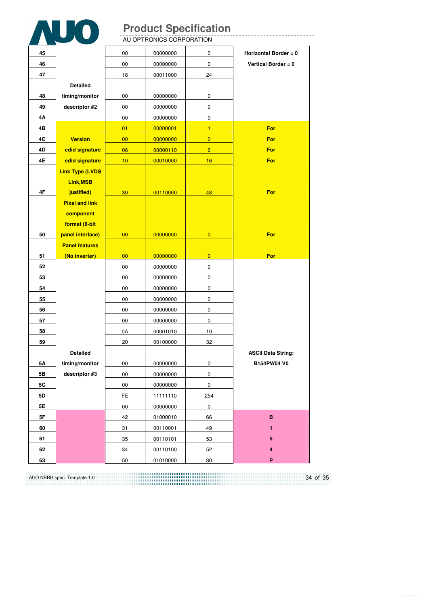|          |                        |          | AU OPTRONICS CORPORATION | <b>Product Specification</b> |                           |
|----------|------------------------|----------|--------------------------|------------------------------|---------------------------|
| 45       |                        | 00       | 00000000                 | 0                            | Horizontal Border = 0     |
| 46       |                        | 00       | 00000000                 | 0                            | Vertical Border = $0$     |
| 47       |                        | 18       | 00011000                 | 24                           |                           |
|          | <b>Detailed</b>        |          |                          |                              |                           |
| 48       | timing/monitor         | 00       | 00000000                 | 0                            |                           |
| 49       | descriptor #2          | 00       | 00000000                 | 0                            |                           |
| 4Α       |                        | 00       | 00000000                 | 0                            |                           |
| 4В       |                        | 01       | 00000001                 | $\mathbf{1}$                 | For                       |
| 4C       | <b>Version</b>         | 00       | 00000000                 | $\overline{0}$               | For                       |
| 4D       | edid signature         | 06       | 00000110                 | $6\overline{6}$              | For                       |
| 4E       | edid signature         | 10       | 00010000                 | 16                           | For                       |
|          | <b>Link Type (LVDS</b> |          |                          |                              |                           |
|          | Link, MSB              |          |                          |                              |                           |
| 4F       | justified)             | 30       | 00110000                 | 48                           | For                       |
|          | <b>Pixel and link</b>  |          |                          |                              |                           |
|          | component              |          |                          |                              |                           |
|          | format (6-bit          |          |                          |                              |                           |
| 50       | panel interface)       | 00       | 00000000                 | $\overline{0}$               | For                       |
|          |                        |          |                          |                              |                           |
|          | <b>Panel features</b>  |          |                          |                              |                           |
| 51       | (No inverter)          | 00       | 00000000                 | $\overline{0}$               | For                       |
| 52       |                        | 00       | 00000000                 | 0                            |                           |
| 53       |                        | 00       | 00000000                 | 0                            |                           |
| 54       |                        | 00       | 00000000                 | 0                            |                           |
| 55       |                        | 00       | 00000000                 | 0                            |                           |
| 56       |                        | 00       | 00000000                 | 0                            |                           |
| 57       |                        | 00       | 00000000                 | 0                            |                           |
| 58       |                        | 0A       | 00001010                 | 10                           |                           |
| 59       |                        | 20       | 00100000                 | 32                           |                           |
|          | Detailed               |          |                          |                              | <b>ASCII Data String:</b> |
| 5Α       | timing/monitor         | 00       | 00000000                 | $\pmb{0}$                    | B154PW04 V0               |
| 5B       | descriptor #3          | 00       | 00000000                 | 0                            |                           |
| 5C       |                        | 00       | 00000000                 | 0                            |                           |
| 5D       |                        | FE.      | 11111110                 | 254                          |                           |
| 5E       |                        | 00       | 00000000                 | $\pmb{0}$                    |                           |
| 5F       |                        | 42       | 01000010                 | 66                           | B                         |
| 60       |                        | 31       | 00110001                 | 49                           | 1                         |
| 61       |                        | 35       | 00110101                 | 53                           | 5                         |
| 62<br>63 |                        | 34<br>50 | 00110100<br>01010000     | 52<br>80                     | 4<br>P                    |

34 of 35 AUO NBBU spec. Template 1.0